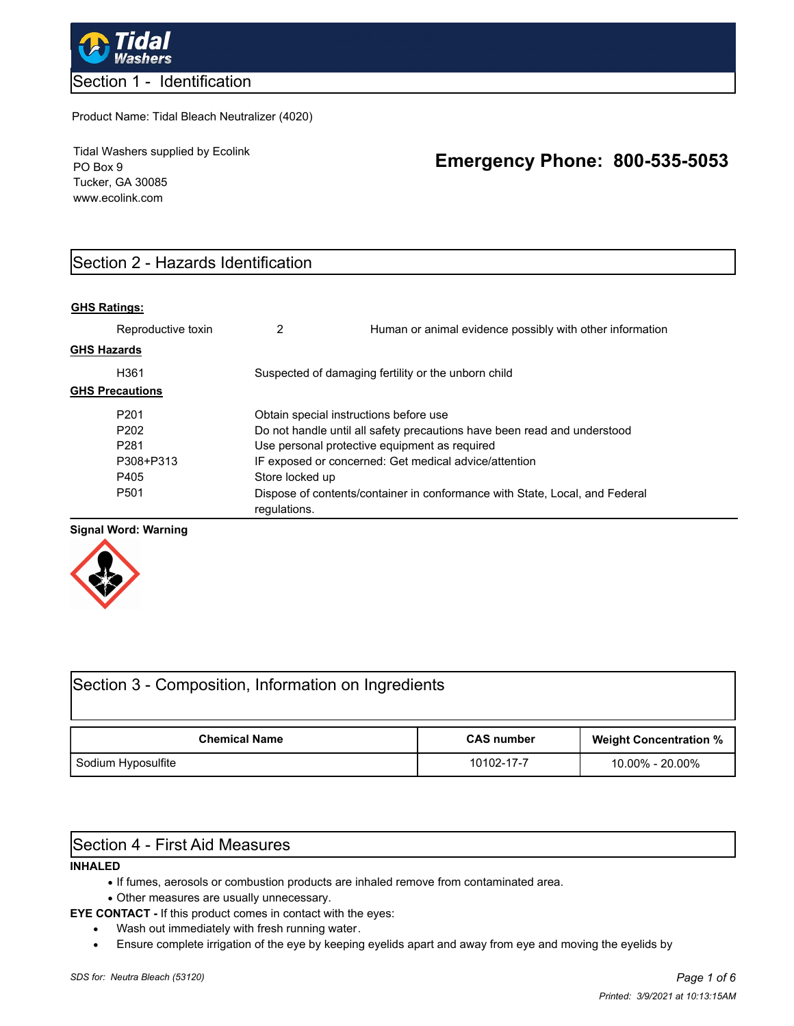

### Section 1 - Identification

#### Product Name: Tidal Bleach Neutralizer (4020)

Tidal Washers supplied by Ecolink PO Box 9 Tucker, GA 30085 www.ecolink.com

# **Emergency Phone: 800-535-5053**

# Section 2 - Hazards Identification

#### **GHS Ratings:**

|                    | Reproductive toxin     | 2                                                     | Human or animal evidence possibly with other information                    |  |
|--------------------|------------------------|-------------------------------------------------------|-----------------------------------------------------------------------------|--|
| <b>GHS Hazards</b> |                        |                                                       |                                                                             |  |
|                    | H361                   |                                                       | Suspected of damaging fertility or the unborn child                         |  |
|                    | <b>GHS Precautions</b> |                                                       |                                                                             |  |
|                    | P <sub>201</sub>       | Obtain special instructions before use                |                                                                             |  |
|                    | P <sub>202</sub>       |                                                       | Do not handle until all safety precautions have been read and understood    |  |
|                    | P <sub>281</sub>       | Use personal protective equipment as required         |                                                                             |  |
|                    | P308+P313              | IF exposed or concerned: Get medical advice/attention |                                                                             |  |
|                    | P405                   | Store locked up                                       |                                                                             |  |
|                    | P <sub>501</sub>       | regulations.                                          | Dispose of contents/container in conformance with State, Local, and Federal |  |

#### **Signal Word: Warning**



| Section 3 - Composition, Information on Ingredients |                   |                               |  |  |  |  |  |
|-----------------------------------------------------|-------------------|-------------------------------|--|--|--|--|--|
| <b>Chemical Name</b>                                | <b>CAS number</b> | <b>Weight Concentration %</b> |  |  |  |  |  |
| Sodium Hyposulfite                                  | 10102-17-7        | 10.00% - 20.00%               |  |  |  |  |  |

# Section 4 - First Aid Measures

#### **INHALED**

- · If fumes, aerosols or combustion products are inhaled remove from contaminated area.
- · Other measures are usually unnecessary.
- **EYE CONTACT** If this product comes in contact with the eyes:
	- · Wash out immediately with fresh running water.
	- · Ensure complete irrigation of the eye by keeping eyelids apart and away from eye and moving the eyelids by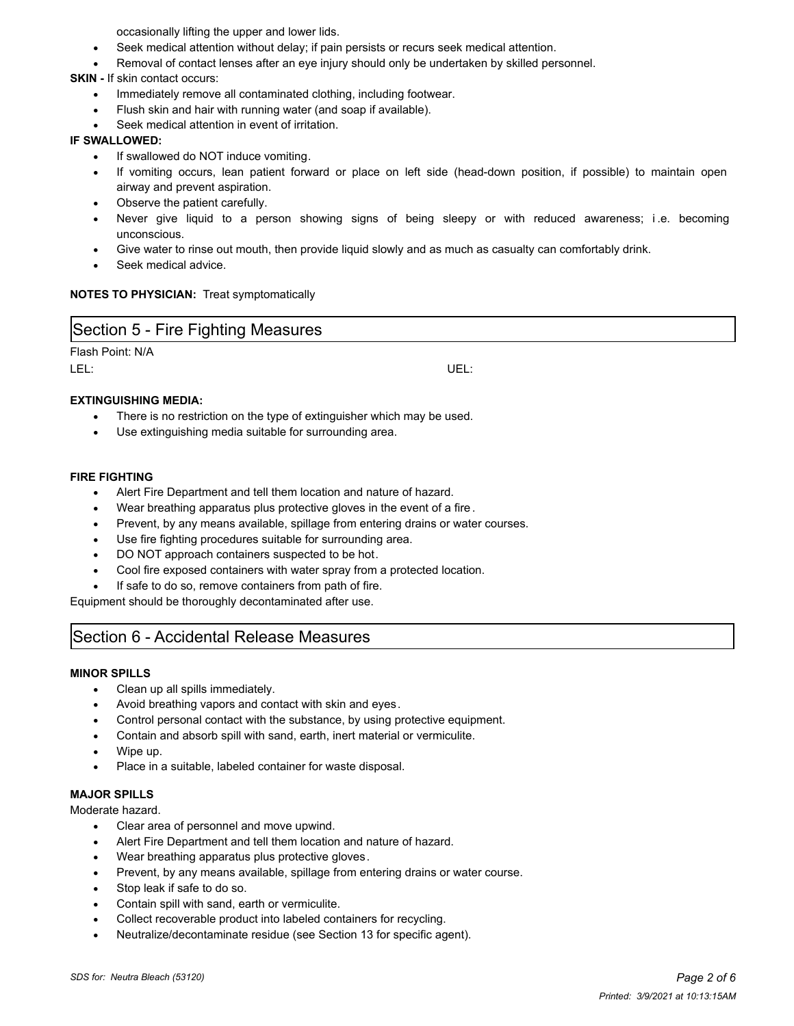occasionally lifting the upper and lower lids.

- Seek medical attention without delay; if pain persists or recurs seek medical attention.
- Removal of contact lenses after an eye injury should only be undertaken by skilled personnel.

**SKIN -** If skin contact occurs:

- · Immediately remove all contaminated clothing, including footwear.
- · Flush skin and hair with running water (and soap if available).
- Seek medical attention in event of irritation.

#### **IF SWALLOWED:**

- If swallowed do NOT induce vomiting.
- If vomiting occurs, lean patient forward or place on left side (head-down position, if possible) to maintain open airway and prevent aspiration.
- Observe the patient carefully.
- Never give liquid to a person showing signs of being sleepy or with reduced awareness; i.e. becoming unconscious.
- Give water to rinse out mouth, then provide liquid slowly and as much as casualty can comfortably drink.
- Seek medical advice.

#### **NOTES TO PHYSICIAN:** Treat symptomatically

| Section 5 - Fire Fighting Measures |     |  |  |  |  |
|------------------------------------|-----|--|--|--|--|
| Flash Point: N/A                   |     |  |  |  |  |
| LEL                                | UEL |  |  |  |  |

#### **EXTINGUISHING MEDIA:**

- There is no restriction on the type of extinguisher which may be used.
- Use extinguishing media suitable for surrounding area.

#### **FIRE FIGHTING**

- Alert Fire Department and tell them location and nature of hazard.
- Wear breathing apparatus plus protective gloves in the event of a fire.
- Prevent, by any means available, spillage from entering drains or water courses.
- Use fire fighting procedures suitable for surrounding area.
- DO NOT approach containers suspected to be hot.
- Cool fire exposed containers with water spray from a protected location.
- If safe to do so, remove containers from path of fire.

Equipment should be thoroughly decontaminated after use.

# Section 6 - Accidental Release Measures

#### **MINOR SPILLS**

- · Clean up all spills immediately.
- Avoid breathing vapors and contact with skin and eyes.
- Control personal contact with the substance, by using protective equipment.
- · Contain and absorb spill with sand, earth, inert material or vermiculite.
- · Wipe up.
- Place in a suitable, labeled container for waste disposal.

#### **MAJOR SPILLS**

Moderate hazard.

- · Clear area of personnel and move upwind.
- Alert Fire Department and tell them location and nature of hazard.
- Wear breathing apparatus plus protective gloves.
- · Prevent, by any means available, spillage from entering drains or water course.
- Stop leak if safe to do so.
- Contain spill with sand, earth or vermiculite.
- Collect recoverable product into labeled containers for recycling.
- Neutralize/decontaminate residue (see Section 13 for specific agent).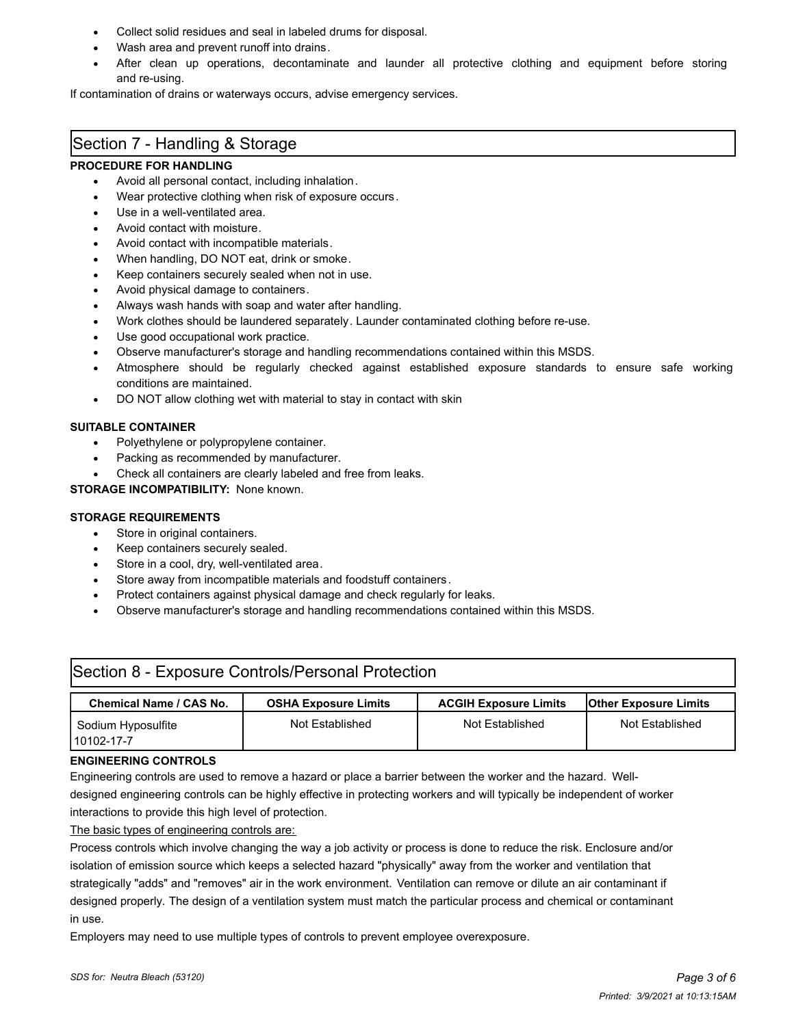- Collect solid residues and seal in labeled drums for disposal.
- Wash area and prevent runoff into drains.
- After clean up operations, decontaminate and launder all protective clothing and equipment before storing and re-using.

If contamination of drains or waterways occurs, advise emergency services.

## Section 7 - Handling & Storage

#### **PROCEDURE FOR HANDLING**

- Avoid all personal contact, including inhalation.
- Wear protective clothing when risk of exposure occurs.
- Use in a well-ventilated area.
- Avoid contact with moisture.
- Avoid contact with incompatible materials.
- When handling, DO NOT eat, drink or smoke.
- Keep containers securely sealed when not in use.
- Avoid physical damage to containers.
- Always wash hands with soap and water after handling.
- · Work clothes should be laundered separately. Launder contaminated clothing before re-use.
- Use good occupational work practice.
- · Observe manufacturer's storage and handling recommendations contained within this MSDS.
- Atmosphere should be regularly checked against established exposure standards to ensure safe working conditions are maintained.
- DO NOT allow clothing wet with material to stay in contact with skin

#### **SUITABLE CONTAINER**

- Polyethylene or polypropylene container.
- Packing as recommended by manufacturer.
- Check all containers are clearly labeled and free from leaks.

#### **STORAGE INCOMPATIBILITY:** None known.

#### **STORAGE REQUIREMENTS**

- Store in original containers.
- Keep containers securely sealed.
- Store in a cool, dry, well-ventilated area.
- Store away from incompatible materials and foodstuff containers.
- Protect containers against physical damage and check regularly for leaks.
- · Observe manufacturer's storage and handling recommendations contained within this MSDS.

| Section 8 - Exposure Controls/Personal Protection |                             |                              |                              |  |  |  |  |  |
|---------------------------------------------------|-----------------------------|------------------------------|------------------------------|--|--|--|--|--|
| <b>Chemical Name / CAS No.</b>                    | <b>OSHA Exposure Limits</b> | <b>ACGIH Exposure Limits</b> | <b>Other Exposure Limits</b> |  |  |  |  |  |
| Sodium Hyposulfite<br>10102-17-7                  | Not Established             | Not Established              | Not Established              |  |  |  |  |  |

#### **ENGINEERING CONTROLS**

Engineering controls are used to remove a hazard or place a barrier between the worker and the hazard. Well-

designed engineering controls can be highly effective in protecting workers and will typically be independent of worker interactions to provide this high level of protection.

The basic types of engineering controls are:

Process controls which involve changing the way a job activity or process is done to reduce the risk. Enclosure and/or isolation of emission source which keeps a selected hazard "physically" away from the worker and ventilation that strategically "adds" and "removes" air in the work environment. Ventilation can remove or dilute an air contaminant if designed properly. The design of a ventilation system must match the particular process and chemical or contaminant in use.

Employers may need to use multiple types of controls to prevent employee overexposure.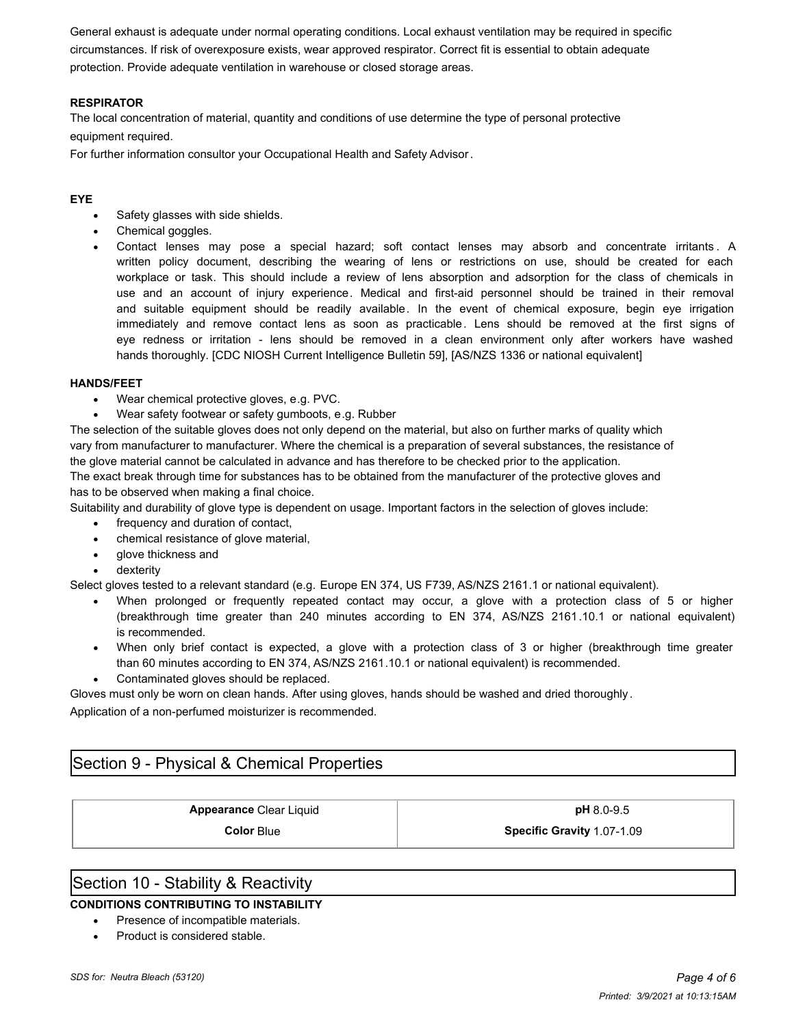General exhaust is adequate under normal operating conditions. Local exhaust ventilation may be required in specific circumstances. If risk of overexposure exists, wear approved respirator. Correct fit is essential to obtain adequate protection. Provide adequate ventilation in warehouse or closed storage areas.

#### **RESPIRATOR**

The local concentration of material, quantity and conditions of use determine the type of personal protective equipment required.

For further information consultor your Occupational Health and Safety Advisor.

#### **EYE**

- Safety glasses with side shields.
- · Chemical goggles.
- Contact lenses may pose a special hazard; soft contact lenses may absorb and concentrate irritants. A written policy document, describing the wearing of lens or restrictions on use, should be created for each workplace or task. This should include a review of lens absorption and adsorption for the class of chemicals in use and an account of injury experience. Medical and first-aid personnel should be trained in their removal and suitable equipment should be readily available. In the event of chemical exposure, begin eye irrigation immediately and remove contact lens as soon as practicable. Lens should be removed at the first signs of eye redness or irritation - lens should be removed in a clean environment only after workers have washed hands thoroughly. [CDC NIOSH Current Intelligence Bulletin 59], [AS/NZS 1336 or national equivalent]

#### **HANDS/FEET**

- · Wear chemical protective gloves, e.g. PVC.
- Wear safety footwear or safety gumboots, e.g. Rubber

The selection of the suitable gloves does not only depend on the material, but also on further marks of quality which vary from manufacturer to manufacturer. Where the chemical is a preparation of several substances, the resistance of the glove material cannot be calculated in advance and has therefore to be checked prior to the application.

The exact break through time for substances has to be obtained from the manufacturer of the protective gloves and has to be observed when making a final choice.

Suitability and durability of glove type is dependent on usage. Important factors in the selection of gloves include:

- frequency and duration of contact,
- · chemical resistance of glove material,
- glove thickness and
- dexterity

Select gloves tested to a relevant standard (e.g. Europe EN 374, US F739, AS/NZS 2161.1 or national equivalent).

- When prolonged or frequently repeated contact may occur, a glove with a protection class of 5 or higher (breakthrough time greater than 240 minutes according to EN 374, AS/NZS 2161.10.1 or national equivalent) is recommended.
- · When only brief contact is expected, a glove with a protection class of 3 or higher (breakthrough time greater than 60 minutes according to EN 374, AS/NZS 2161.10.1 or national equivalent) is recommended.
- Contaminated gloves should be replaced.

Gloves must only be worn on clean hands. After using gloves, hands should be washed and dried thoroughly .

Application of a non-perfumed moisturizer is recommended.

# Section 9 - Physical & Chemical Properties

#### **Appearance** Clear Liquid **pH** 8.0-9.5

**Color** Blue **Specific Gravity** 1.07-1.09

### Section 10 - Stability & Reactivity

#### **CONDITIONS CONTRIBUTING TO INSTABILITY**

- Presence of incompatible materials.
- Product is considered stable.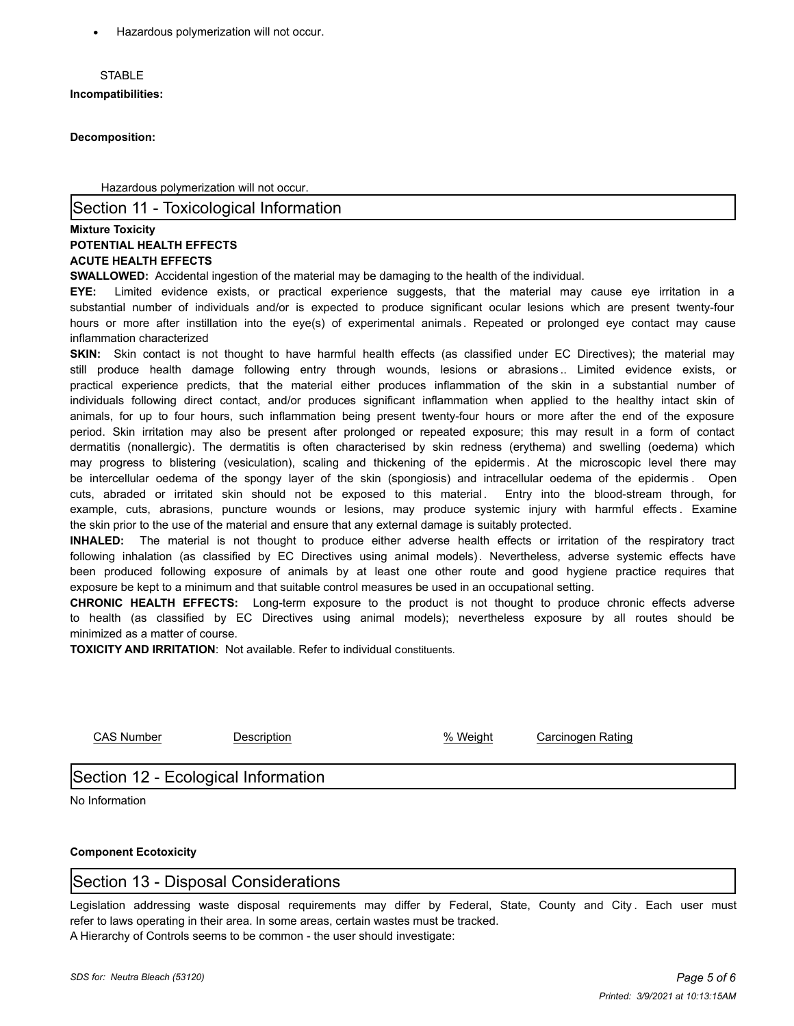· Hazardous polymerization will not occur.

#### **STABLE**

**Incompatibilities:**

**Decomposition:**

Hazardous polymerization will not occur.

#### Section 11 - Toxicological Information

#### **Mixture Toxicity POTENTIAL HEALTH EFFECTS ACUTE HEALTH EFFECTS**

**SWALLOWED:** Accidental ingestion of the material may be damaging to the health of the individual.

**EYE:** Limited evidence exists, or practical experience suggests, that the material may cause eye irritation in a substantial number of individuals and/or is expected to produce significant ocular lesions which are present twenty-four hours or more after instillation into the eye(s) of experimental animals . Repeated or prolonged eye contact may cause inflammation characterized

**SKIN:** Skin contact is not thought to have harmful health effects (as classified under EC Directives); the material may still produce health damage following entry through wounds, lesions or abrasions .. Limited evidence exists, or practical experience predicts, that the material either produces inflammation of the skin in a substantial number of individuals following direct contact, and/or produces significant inflammation when applied to the healthy intact skin of animals, for up to four hours, such inflammation being present twenty-four hours or more after the end of the exposure period. Skin irritation may also be present after prolonged or repeated exposure; this may result in a form of contact dermatitis (nonallergic). The dermatitis is often characterised by skin redness (erythema) and swelling (oedema) which may progress to blistering (vesiculation), scaling and thickening of the epidermis . At the microscopic level there may be intercellular oedema of the spongy layer of the skin (spongiosis) and intracellular oedema of the epidermis . Open cuts, abraded or irritated skin should not be exposed to this material. Entry into the blood-stream through, for example, cuts, abrasions, puncture wounds or lesions, may produce systemic injury with harmful effects . Examine the skin prior to the use of the material and ensure that any external damage is suitably protected.

**INHALED:** The material is not thought to produce either adverse health effects or irritation of the respiratory tract following inhalation (as classified by EC Directives using animal models). Nevertheless, adverse systemic effects have been produced following exposure of animals by at least one other route and good hygiene practice requires that exposure be kept to a minimum and that suitable control measures be used in an occupational setting.

**CHRONIC HEALTH EFFECTS:** Long-term exposure to the product is not thought to produce chronic effects adverse to health (as classified by EC Directives using animal models); nevertheless exposure by all routes should be minimized as a matter of course.

**TOXICITY AND IRRITATION**: Not available. Refer to individual constituents.

CAS Number Description % Weight Carcinogen Rating

# Section 12 - Ecological Information

No Information

### **Component Ecotoxicity**

# Section 13 - Disposal Considerations

Legislation addressing waste disposal requirements may differ by Federal, State, County and City. Each user must refer to laws operating in their area. In some areas, certain wastes must be tracked. A Hierarchy of Controls seems to be common - the user should investigate:

*SDS for: Neutra Bleach (53120) Page 5 of 6*